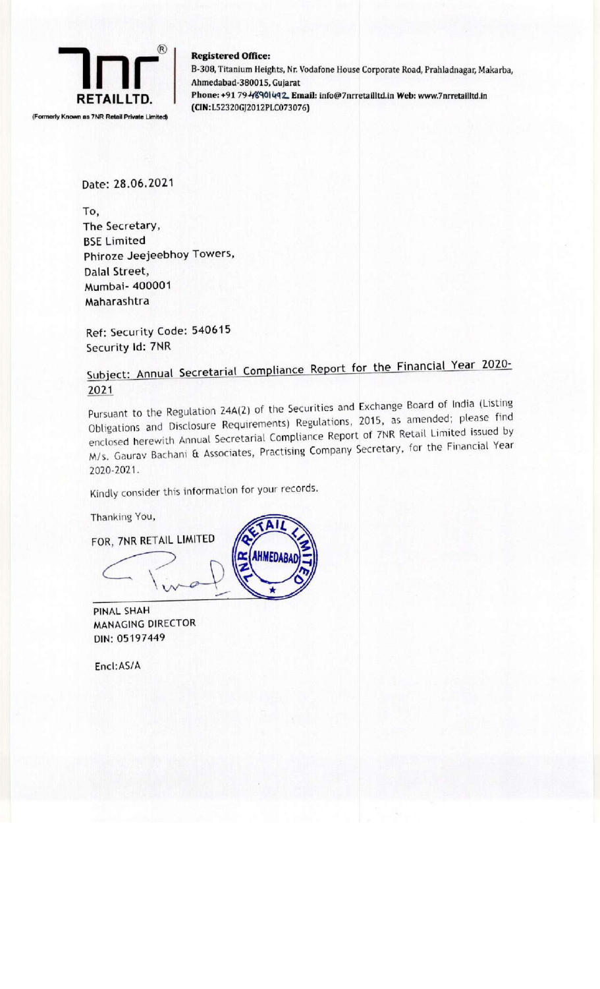

**Registered Office:** B-308, Titanium Heights, Nr. Vodafone House Corporate Road, Prahladna **Registered Office:**<br>B-308, Titanium Heights, Nr. Vodafone House Corporate Road, Prahladnagar, Makarba,<br>Ahmedabad-380015. Gujarat **ELETAILLTD.** Ahmedabad-380015, Gujarat<br>RETAILLTD. Phone: +91 79-4%901492. Email: info@7nrretailltd.in Web: www.7nrretailltd.in

Date: 28.06.2021

To, The Secretary, BSE Limited Phiroze Jeejeebhoy Towers, Dalal Street, Mumbai- 400001 Maharashtra

Ref: Security Code: 540615 Security Id: 7NR

Subject: Annual Secretarial Compliance Report for the Financial Year 2020- 2021

Pursuant to the Regulation 24A(2) of the Securities and Exchange Board of India (Listing Obligations and Disclosure Requirements) Regulations, 2015, as amended; please find enclosed herewith Annual Secretarial Compliance Report of 7NR Retail Limited issued by enclosed herewith Annual Secretarial Compliance Repert of<br>M/s. Gauray Bachani & Associates, Practising Company Secretary, for the Financial Year 2020-2021. Dougations and Dr.<br>
A/s. Gauray Bachar<br>
2020-2021.<br>
Kindly consider this<br>
Thanking You,<br>
FOR, 7NR RETAIL L

**AHMEDAB** 

Kindly consider this information for your records.

Thanking You,

FOR, 7NR RETAIL LIMITED

PINAL SHAH MANAGING DIRECTOR DIN: 05197449

Encl:AS/A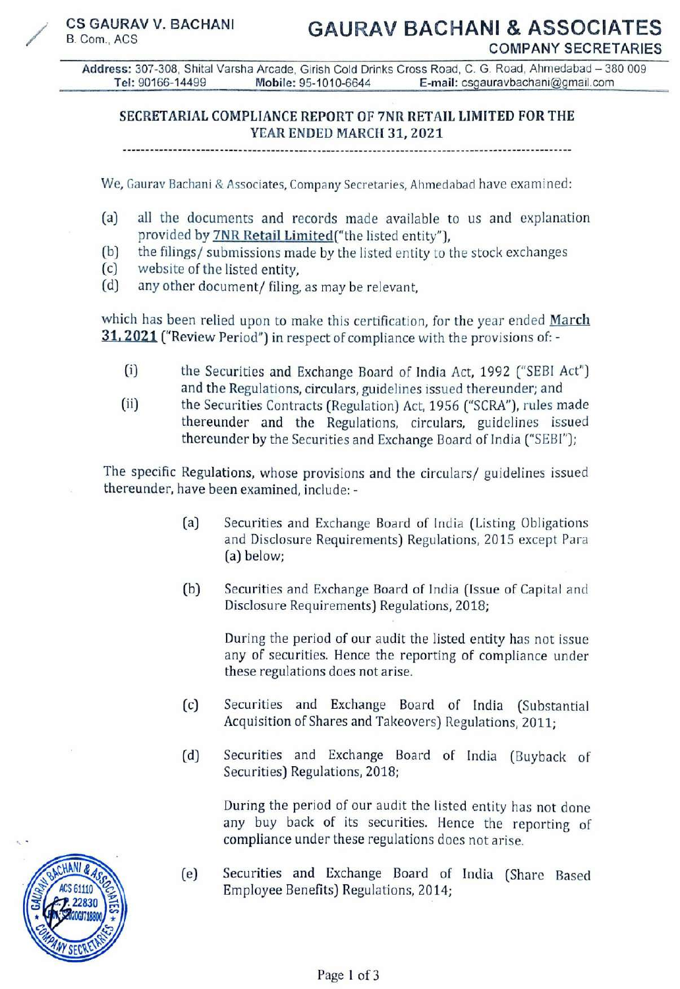Address: 307-308, Shital Varsha Arcade, Girish Cold Drinks Cross Road, C. G. Road, Anmedabad — 380 009 Tel: 90166-14499 Mobile: 95-1010-6644 E-mail: csgauravbachani@gmail.com

## SECRETARIAL COMPLIANCE REPORT OF 7NR RETAIL LIMITED FOR THE YEAR ENDED MARCH 31, 2021

We, Gaurav Bachani & Associates, Company Secretaries, Anmedabad have examined:

- (a) all the documents and records made available to us and explanation provided by **7NR Retail Limited** ("the listed entity"),
- (b) \_ the filings/ submissions made by the listed entity to the stock exchanges
- (c) website of the listed entity,
- (d) any other document/ filing, as may be relevant,

which has been relied upon to make this certification, for the year ended March 31, 2021 ("Review Period") in respect of compliance with the provisions of: -

- (i) the Securities and Exchange Board of India Act, 1992 ("SEBI Act") and the Regulations, circulars, guidelines issued thereunder; and
- (ii) the Securities Contracts (Regulation) Act, 1956 ("SCRA"), rules made thereunder and the Regulations, circulars, guidelines issued thereunder by the Securities and Exchange Board of India ("SEBI");

The specific Regulations, whose provisions and the circulars/ guidelines issued thereunder, have been examined, include: -

- (a) Securities and Exchange Board of India (Listing Obligations and Disclosure Requirements) Regulations, 2015 except Para (a) below;
- (b) Securities and Exchange Board of India (Issue of Capital and Disclosure Requirements) Regulations, 2018;

During the period of our audit the listed entity has not issue any of securities. Hence the reporting of compliance under these regulations does not arise.

- (c) Securities and Exchange Board of India (Substantial Acquisition of Shares and Takeovers) Regulations, 2011;
- (d) Securities and Exchange Board of India (Buyback of Securities) Regulations, 2018;

During the period of our audit the listed entity has not done any buy back of its securities. Hence the reporting of compliance under these regulations does not arise.

(e) Securities and Exchange Board of India (Share Based Employee Benefits) Regulations, 2014;<br>Page 1 of 3

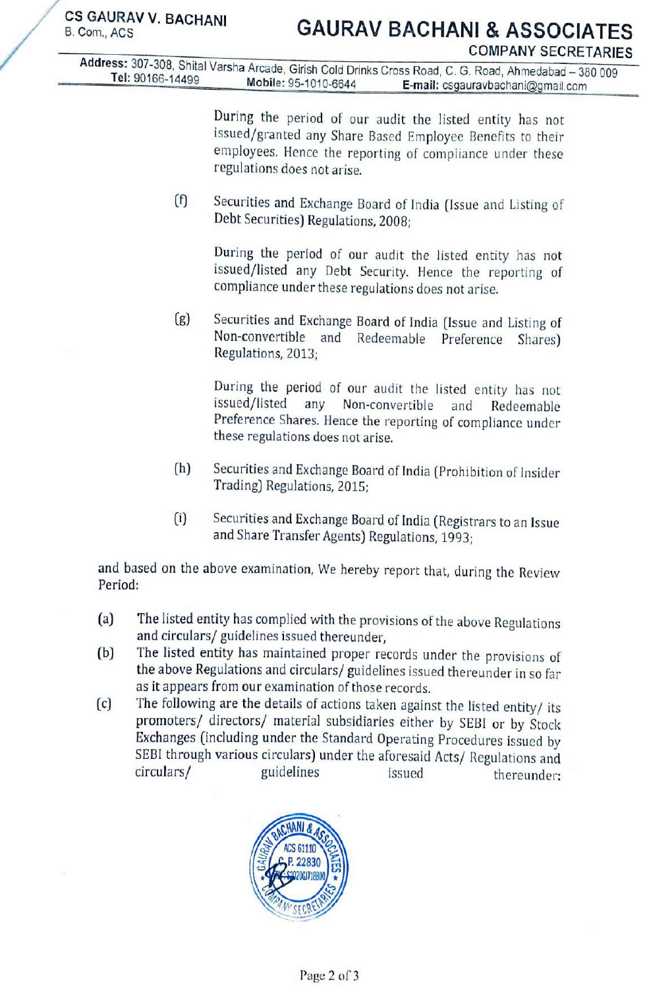/

CS GAURAV V. BACHANI **GAURAV BACHANI & ASSOCIATES**<br>B. Com., ACS COMPANY SECRETARIES<br>Tel: 90166-14499 Tel: 90166-14499 CS GAURAV V. BACHANI GAUF<br>
B. Com., ACS<br>
Address: 307-308, Shital Varsha Arcade, Girish Cold<br>
Tel: 90166-14499 Mobile: 95-1010-664 Tel: 90166-14499 Mobile: 95-1010-6644 E-mail: csgauravbachani@gmail.com

During the period of our audit the listed entity has not issued/granted any Share Based Employee Benefits to their employees. Hence the reporting of compliance under these regulations does not arise.

(f) Securities and Exchange Board of India (Issue and Listing of Debt Securities) Regulations, 2008;

During the period of our audit the listed entity has not issued/listed any Debt Security. Hence the reporting of compliance under these regulations does not arise.

(g) Securities and Exchange Board of India (Issue and Listing of Non-convertible and Redeemable Preference Shares) Regulations, 2013;

> During the period of our audit the listed entity has not issued/listed any Non-convertible and Redeemable Preference Shares. Hence the reporting of compliance under these regulations does not arise.

- (h) Securities and Exchange Board of India (Prohibition of Insider Trading) Regulations, 2015;
- (i) Securities and Exchange Board of India (Registrars to an Issue and Share Transfer Agents) Regulations, 1993:

and based on the above examination, We hereby report that, during the Review Period:

- (a) The listed entity has complied with the provisions of the above Regulations and circulars/ guidelines issued thereunder,<br>
(b) The listed entity has maintained proper records under the provisions of
- 
- (b) The listed entity has maintained proper records under the provisions of<br>the above Regulations and circulars/ guidelines issued thereunder in so far<br>as it appears from our examination of those records.<br>(c) The following